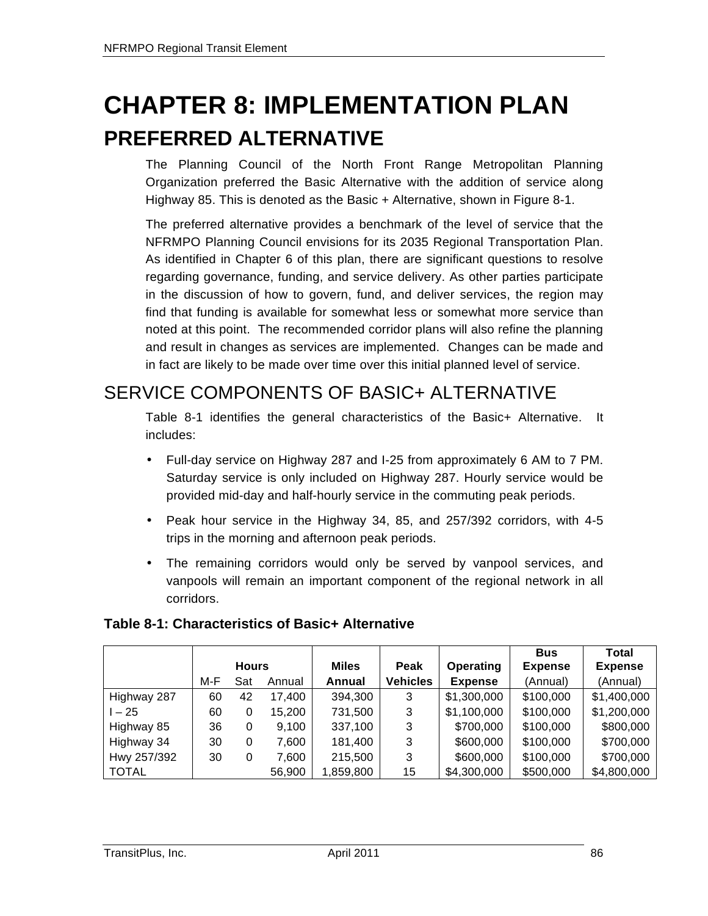# **CHAPTER 8: IMPLEMENTATION PLAN PREFERRED ALTERNATIVE**

The Planning Council of the North Front Range Metropolitan Planning Organization preferred the Basic Alternative with the addition of service along Highway 85. This is denoted as the Basic + Alternative, shown in Figure 8-1.

The preferred alternative provides a benchmark of the level of service that the NFRMPO Planning Council envisions for its 2035 Regional Transportation Plan. As identified in Chapter 6 of this plan, there are significant questions to resolve regarding governance, funding, and service delivery. As other parties participate in the discussion of how to govern, fund, and deliver services, the region may find that funding is available for somewhat less or somewhat more service than noted at this point. The recommended corridor plans will also refine the planning and result in changes as services are implemented. Changes can be made and in fact are likely to be made over time over this initial planned level of service.

#### SERVICE COMPONENTS OF BASIC+ ALTERNATIVE

Table 8-1 identifies the general characteristics of the Basic+ Alternative. It includes:

- Full-day service on Highway 287 and I-25 from approximately 6 AM to 7 PM. Saturday service is only included on Highway 287. Hourly service would be provided mid-day and half-hourly service in the commuting peak periods.
- Peak hour service in the Highway 34, 85, and 257/392 corridors, with 4-5 trips in the morning and afternoon peak periods.
- The remaining corridors would only be served by vanpool services, and vanpools will remain an important component of the regional network in all corridors.

|              |              |     |        |              |                 |                | <b>Bus</b>     | Total          |
|--------------|--------------|-----|--------|--------------|-----------------|----------------|----------------|----------------|
|              | <b>Hours</b> |     |        | <b>Miles</b> | Peak            | Operating      | <b>Expense</b> | <b>Expense</b> |
|              | M-F          | Sat | Annual | Annual       | <b>Vehicles</b> | <b>Expense</b> | (Annual)       | (Annual)       |
| Highway 287  | 60           | 42  | 17,400 | 394,300      | 3               | \$1,300,000    | \$100,000      | \$1,400,000    |
| $1 - 25$     | 60           | 0   | 15,200 | 731,500      | 3               | \$1,100,000    | \$100,000      | \$1,200,000    |
| Highway 85   | 36           | 0   | 9,100  | 337,100      | 3               | \$700,000      | \$100,000      | \$800,000      |
| Highway 34   | 30           | 0   | 7,600  | 181,400      | 3               | \$600,000      | \$100,000      | \$700,000      |
| Hwy 257/392  | 30           | 0   | 7,600  | 215,500      | 3               | \$600,000      | \$100,000      | \$700,000      |
| <b>TOTAL</b> |              |     | 56,900 | 1,859,800    | 15              | \$4,300,000    | \$500,000      | \$4,800,000    |

#### **Table 8-1: Characteristics of Basic+ Alternative**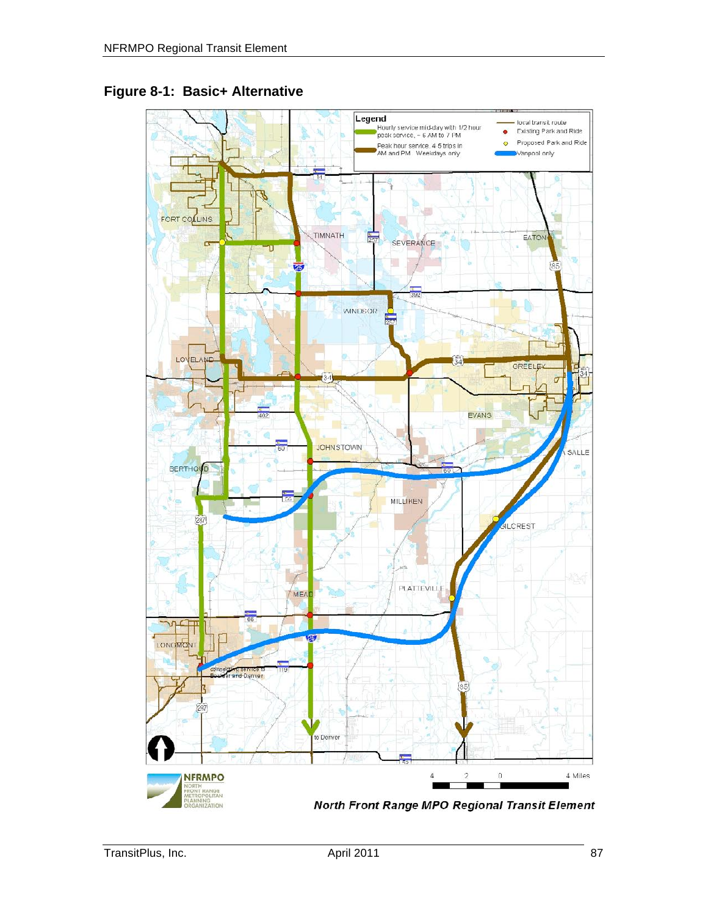

#### **Figure 8-1: Basic+ Alternative**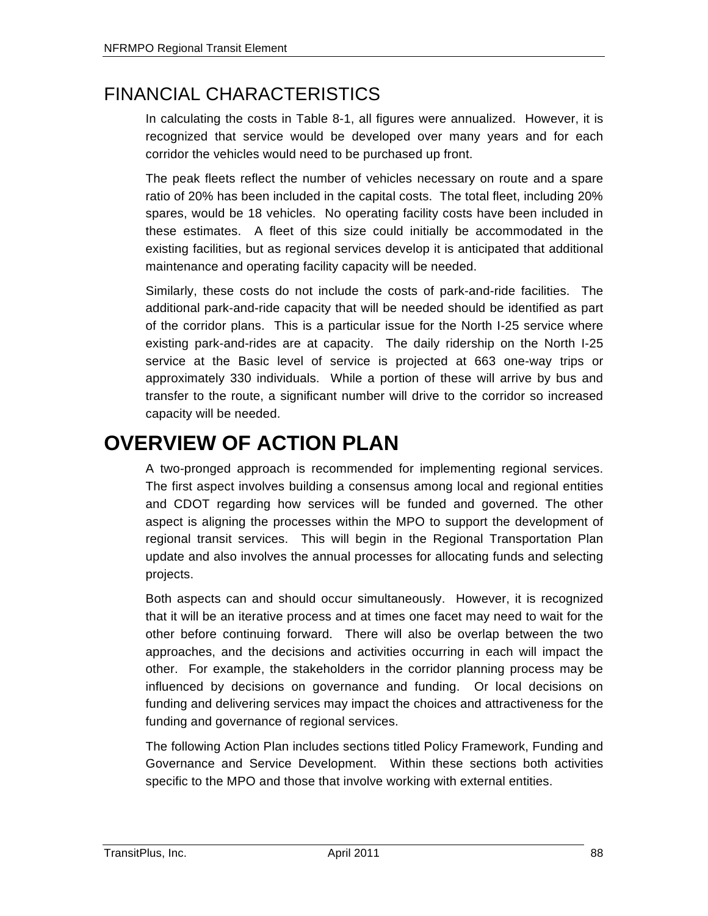### FINANCIAL CHARACTERISTICS

In calculating the costs in Table 8-1, all figures were annualized. However, it is recognized that service would be developed over many years and for each corridor the vehicles would need to be purchased up front.

The peak fleets reflect the number of vehicles necessary on route and a spare ratio of 20% has been included in the capital costs. The total fleet, including 20% spares, would be 18 vehicles. No operating facility costs have been included in these estimates. A fleet of this size could initially be accommodated in the existing facilities, but as regional services develop it is anticipated that additional maintenance and operating facility capacity will be needed.

Similarly, these costs do not include the costs of park-and-ride facilities. The additional park-and-ride capacity that will be needed should be identified as part of the corridor plans. This is a particular issue for the North I-25 service where existing park-and-rides are at capacity. The daily ridership on the North I-25 service at the Basic level of service is projected at 663 one-way trips or approximately 330 individuals. While a portion of these will arrive by bus and transfer to the route, a significant number will drive to the corridor so increased capacity will be needed.

### **OVERVIEW OF ACTION PLAN**

A two-pronged approach is recommended for implementing regional services. The first aspect involves building a consensus among local and regional entities and CDOT regarding how services will be funded and governed. The other aspect is aligning the processes within the MPO to support the development of regional transit services. This will begin in the Regional Transportation Plan update and also involves the annual processes for allocating funds and selecting projects.

Both aspects can and should occur simultaneously. However, it is recognized that it will be an iterative process and at times one facet may need to wait for the other before continuing forward. There will also be overlap between the two approaches, and the decisions and activities occurring in each will impact the other. For example, the stakeholders in the corridor planning process may be influenced by decisions on governance and funding. Or local decisions on funding and delivering services may impact the choices and attractiveness for the funding and governance of regional services.

The following Action Plan includes sections titled Policy Framework, Funding and Governance and Service Development. Within these sections both activities specific to the MPO and those that involve working with external entities.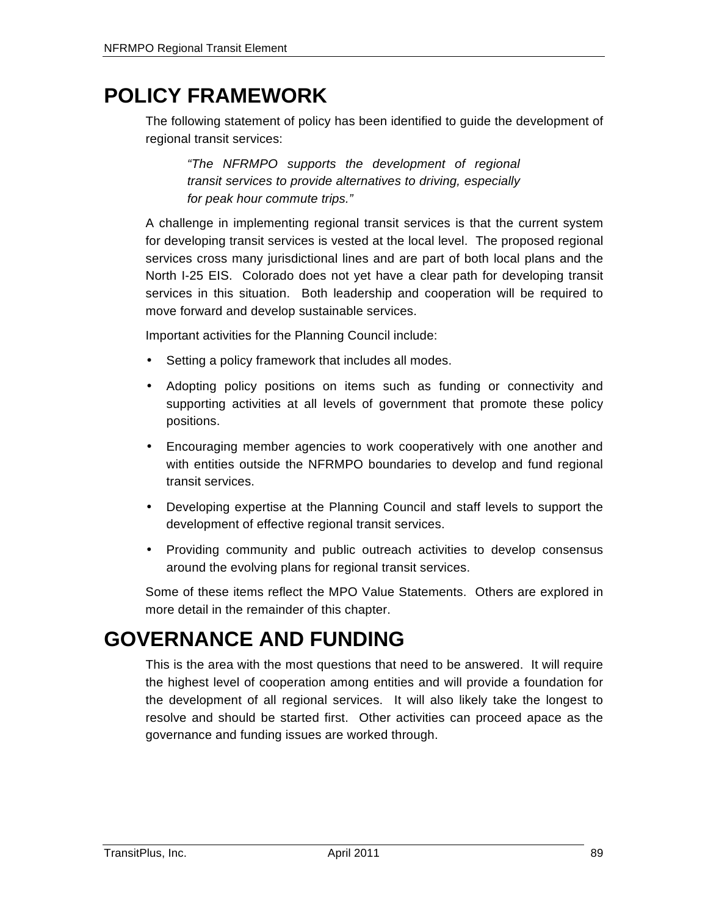## **POLICY FRAMEWORK**

The following statement of policy has been identified to guide the development of regional transit services:

*"The NFRMPO supports the development of regional transit services to provide alternatives to driving, especially for peak hour commute trips."*

A challenge in implementing regional transit services is that the current system for developing transit services is vested at the local level. The proposed regional services cross many jurisdictional lines and are part of both local plans and the North I-25 EIS. Colorado does not yet have a clear path for developing transit services in this situation. Both leadership and cooperation will be required to move forward and develop sustainable services.

Important activities for the Planning Council include:

- Setting a policy framework that includes all modes.
- Adopting policy positions on items such as funding or connectivity and supporting activities at all levels of government that promote these policy positions.
- Encouraging member agencies to work cooperatively with one another and with entities outside the NFRMPO boundaries to develop and fund regional transit services.
- Developing expertise at the Planning Council and staff levels to support the development of effective regional transit services.
- Providing community and public outreach activities to develop consensus around the evolving plans for regional transit services.

Some of these items reflect the MPO Value Statements. Others are explored in more detail in the remainder of this chapter.

### **GOVERNANCE AND FUNDING**

This is the area with the most questions that need to be answered. It will require the highest level of cooperation among entities and will provide a foundation for the development of all regional services. It will also likely take the longest to resolve and should be started first. Other activities can proceed apace as the governance and funding issues are worked through.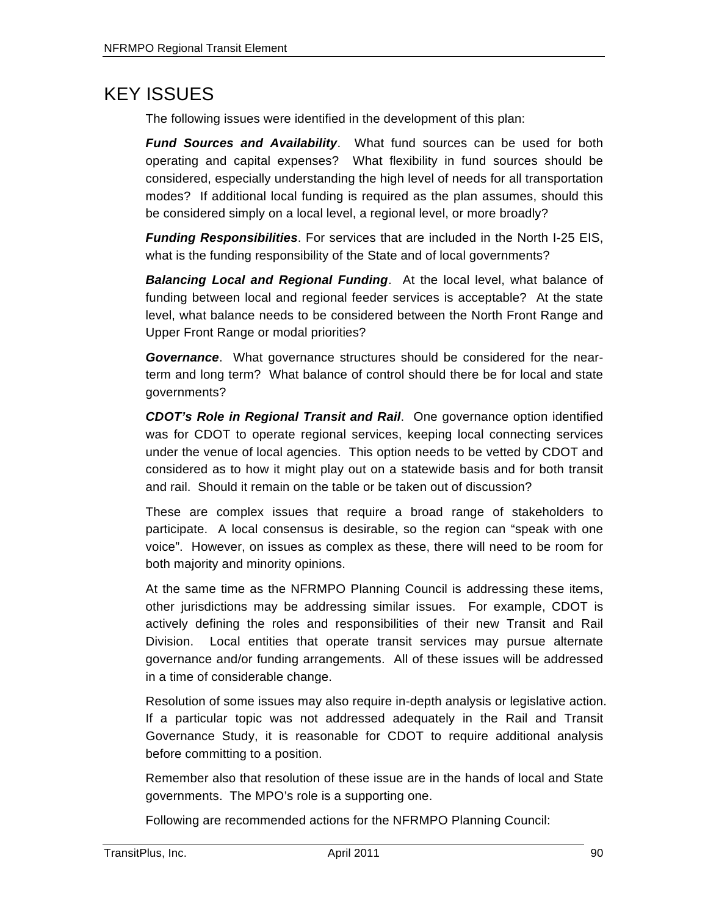#### KEY ISSUES

The following issues were identified in the development of this plan:

*Fund Sources and Availability*. What fund sources can be used for both operating and capital expenses? What flexibility in fund sources should be considered, especially understanding the high level of needs for all transportation modes? If additional local funding is required as the plan assumes, should this be considered simply on a local level, a regional level, or more broadly?

*Funding Responsibilities*. For services that are included in the North I-25 EIS, what is the funding responsibility of the State and of local governments?

*Balancing Local and Regional Funding*. At the local level, what balance of funding between local and regional feeder services is acceptable? At the state level, what balance needs to be considered between the North Front Range and Upper Front Range or modal priorities?

*Governance*. What governance structures should be considered for the nearterm and long term? What balance of control should there be for local and state governments?

*CDOT's Role in Regional Transit and Rail*. One governance option identified was for CDOT to operate regional services, keeping local connecting services under the venue of local agencies. This option needs to be vetted by CDOT and considered as to how it might play out on a statewide basis and for both transit and rail. Should it remain on the table or be taken out of discussion?

These are complex issues that require a broad range of stakeholders to participate. A local consensus is desirable, so the region can "speak with one voice". However, on issues as complex as these, there will need to be room for both majority and minority opinions.

At the same time as the NFRMPO Planning Council is addressing these items, other jurisdictions may be addressing similar issues. For example, CDOT is actively defining the roles and responsibilities of their new Transit and Rail Division. Local entities that operate transit services may pursue alternate governance and/or funding arrangements. All of these issues will be addressed in a time of considerable change.

Resolution of some issues may also require in-depth analysis or legislative action. If a particular topic was not addressed adequately in the Rail and Transit Governance Study, it is reasonable for CDOT to require additional analysis before committing to a position.

Remember also that resolution of these issue are in the hands of local and State governments. The MPO's role is a supporting one.

Following are recommended actions for the NFRMPO Planning Council: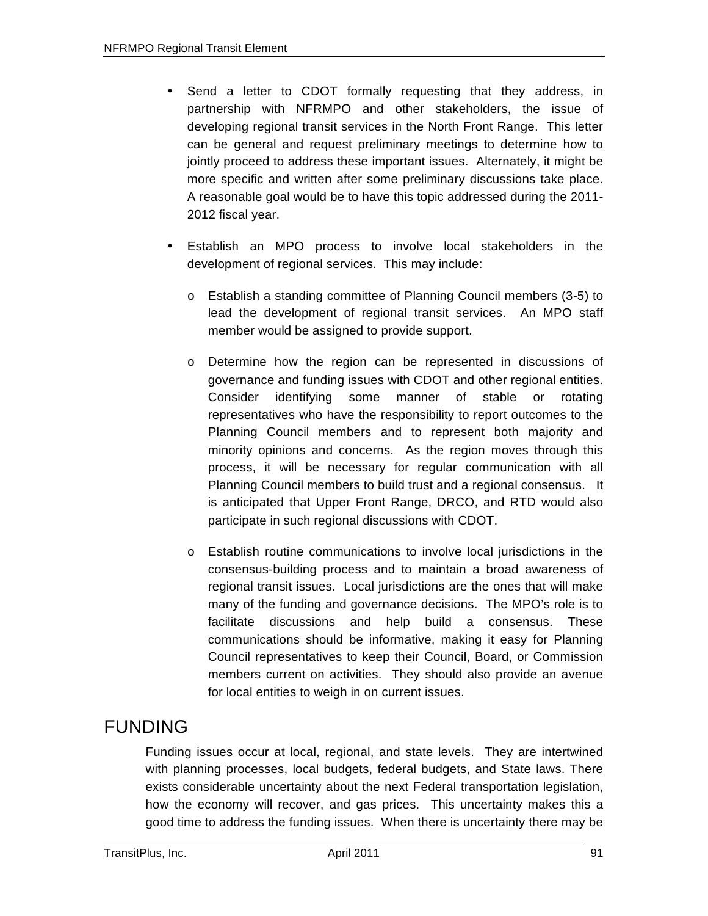- Send a letter to CDOT formally requesting that they address, in partnership with NFRMPO and other stakeholders, the issue of developing regional transit services in the North Front Range. This letter can be general and request preliminary meetings to determine how to jointly proceed to address these important issues. Alternately, it might be more specific and written after some preliminary discussions take place. A reasonable goal would be to have this topic addressed during the 2011- 2012 fiscal year.
- Establish an MPO process to involve local stakeholders in the development of regional services. This may include:
	- o Establish a standing committee of Planning Council members (3-5) to lead the development of regional transit services. An MPO staff member would be assigned to provide support.
	- o Determine how the region can be represented in discussions of governance and funding issues with CDOT and other regional entities. Consider identifying some manner of stable or rotating representatives who have the responsibility to report outcomes to the Planning Council members and to represent both majority and minority opinions and concerns. As the region moves through this process, it will be necessary for regular communication with all Planning Council members to build trust and a regional consensus. It is anticipated that Upper Front Range, DRCO, and RTD would also participate in such regional discussions with CDOT.
	- o Establish routine communications to involve local jurisdictions in the consensus-building process and to maintain a broad awareness of regional transit issues. Local jurisdictions are the ones that will make many of the funding and governance decisions. The MPO's role is to facilitate discussions and help build a consensus. These communications should be informative, making it easy for Planning Council representatives to keep their Council, Board, or Commission members current on activities. They should also provide an avenue for local entities to weigh in on current issues.

### FUNDING

Funding issues occur at local, regional, and state levels. They are intertwined with planning processes, local budgets, federal budgets, and State laws. There exists considerable uncertainty about the next Federal transportation legislation, how the economy will recover, and gas prices. This uncertainty makes this a good time to address the funding issues. When there is uncertainty there may be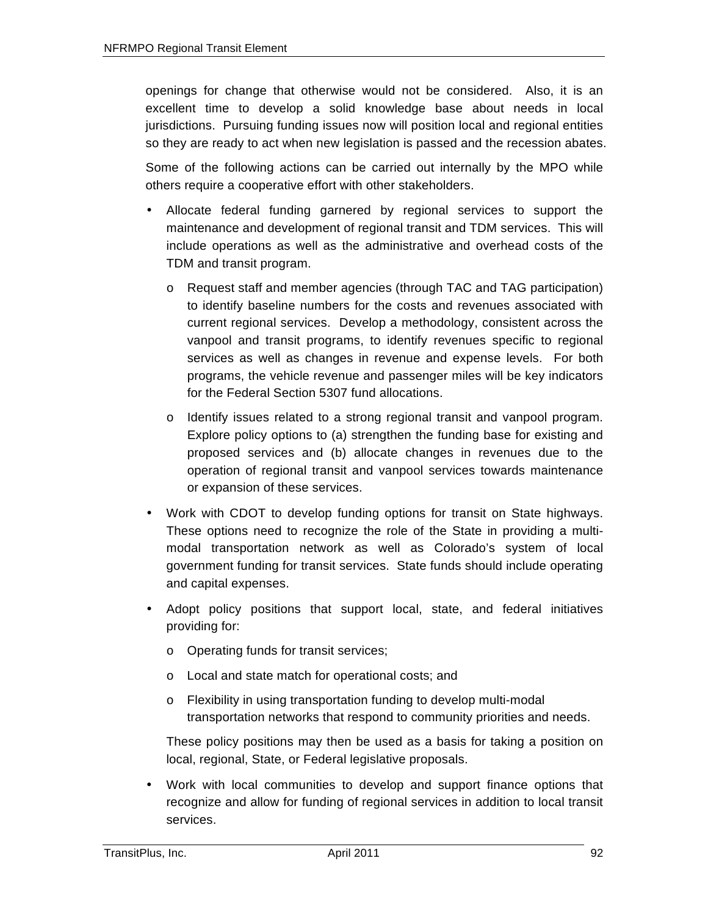openings for change that otherwise would not be considered. Also, it is an excellent time to develop a solid knowledge base about needs in local jurisdictions. Pursuing funding issues now will position local and regional entities so they are ready to act when new legislation is passed and the recession abates.

Some of the following actions can be carried out internally by the MPO while others require a cooperative effort with other stakeholders.

- Allocate federal funding garnered by regional services to support the maintenance and development of regional transit and TDM services. This will include operations as well as the administrative and overhead costs of the TDM and transit program.
	- o Request staff and member agencies (through TAC and TAG participation) to identify baseline numbers for the costs and revenues associated with current regional services. Develop a methodology, consistent across the vanpool and transit programs, to identify revenues specific to regional services as well as changes in revenue and expense levels. For both programs, the vehicle revenue and passenger miles will be key indicators for the Federal Section 5307 fund allocations.
	- o Identify issues related to a strong regional transit and vanpool program. Explore policy options to (a) strengthen the funding base for existing and proposed services and (b) allocate changes in revenues due to the operation of regional transit and vanpool services towards maintenance or expansion of these services.
- Work with CDOT to develop funding options for transit on State highways. These options need to recognize the role of the State in providing a multimodal transportation network as well as Colorado's system of local government funding for transit services. State funds should include operating and capital expenses.
- Adopt policy positions that support local, state, and federal initiatives providing for:
	- o Operating funds for transit services;
	- o Local and state match for operational costs; and
	- o Flexibility in using transportation funding to develop multi-modal transportation networks that respond to community priorities and needs.

These policy positions may then be used as a basis for taking a position on local, regional, State, or Federal legislative proposals.

• Work with local communities to develop and support finance options that recognize and allow for funding of regional services in addition to local transit services.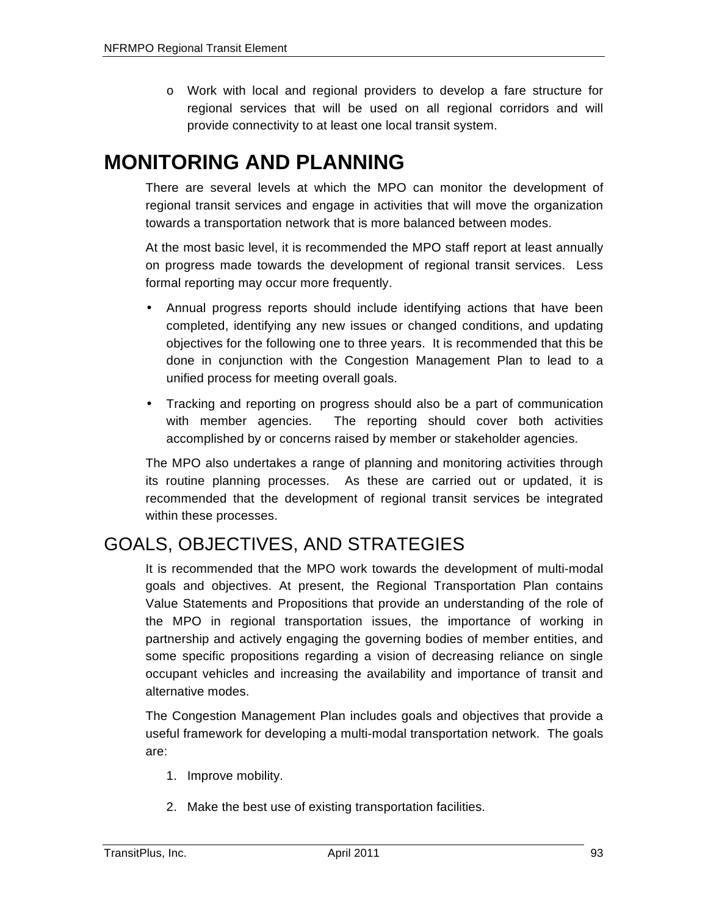o Work with local and regional providers to develop a fare structure for regional services that will be used on all regional corridors and will provide connectivity to at least one local transit system.

## **MONITORING AND PLANNING**

There are several levels at which the MPO can monitor the development of regional transit services and engage in activities that will move the organization towards a transportation network that is more balanced between modes.

At the most basic level, it is recommended the MPO staff report at least annually on progress made towards the development of regional transit services. Less formal reporting may occur more frequently.

- Annual progress reports should include identifying actions that have been completed, identifying any new issues or changed conditions, and updating objectives for the following one to three years. It is recommended that this be done in conjunction with the Congestion Management Plan to lead to a unified process for meeting overall goals.
- Tracking and reporting on progress should also be a part of communication with member agencies. The reporting should cover both activities accomplished by or concerns raised by member or stakeholder agencies.

The MPO also undertakes a range of planning and monitoring activities through its routine planning processes. As these are carried out or updated, it is recommended that the development of regional transit services be integrated within these processes.

### GOALS, OBJECTIVES, AND STRATEGIES

It is recommended that the MPO work towards the development of multi-modal goals and objectives. At present, the Regional Transportation Plan contains Value Statements and Propositions that provide an understanding of the role of the MPO in regional transportation issues, the importance of working in partnership and actively engaging the governing bodies of member entities, and some specific propositions regarding a vision of decreasing reliance on single occupant vehicles and increasing the availability and importance of transit and alternative modes.

The Congestion Management Plan includes goals and objectives that provide a useful framework for developing a multi-modal transportation network. The goals are:

- 1. Improve mobility.
- 2. Make the best use of existing transportation facilities.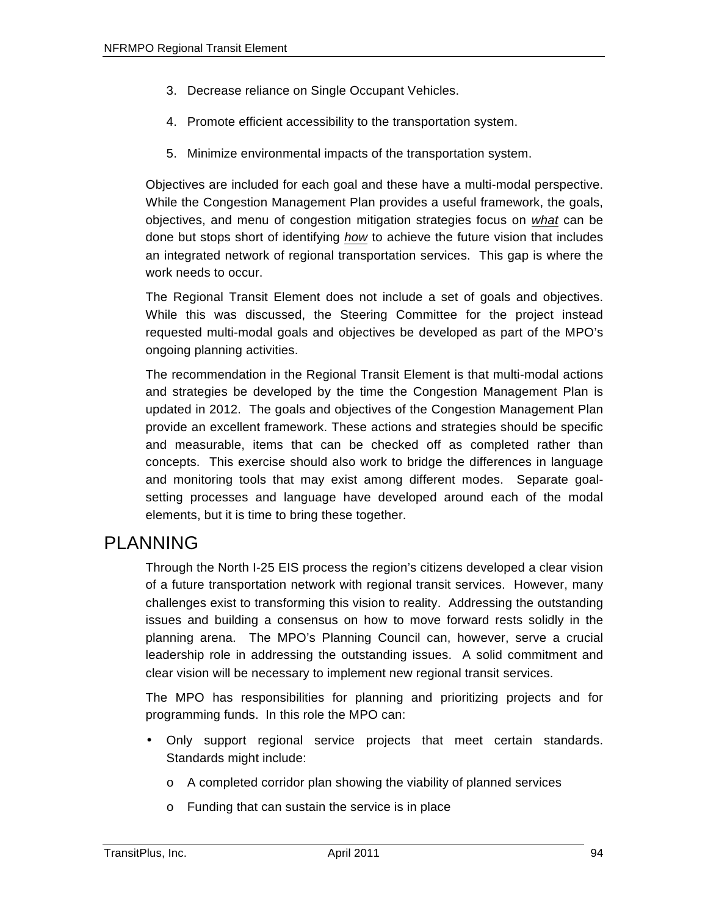- 3. Decrease reliance on Single Occupant Vehicles.
- 4. Promote efficient accessibility to the transportation system.
- 5. Minimize environmental impacts of the transportation system.

Objectives are included for each goal and these have a multi-modal perspective. While the Congestion Management Plan provides a useful framework, the goals, objectives, and menu of congestion mitigation strategies focus on *what* can be done but stops short of identifying *how* to achieve the future vision that includes an integrated network of regional transportation services. This gap is where the work needs to occur.

The Regional Transit Element does not include a set of goals and objectives. While this was discussed, the Steering Committee for the project instead requested multi-modal goals and objectives be developed as part of the MPO's ongoing planning activities.

The recommendation in the Regional Transit Element is that multi-modal actions and strategies be developed by the time the Congestion Management Plan is updated in 2012. The goals and objectives of the Congestion Management Plan provide an excellent framework. These actions and strategies should be specific and measurable, items that can be checked off as completed rather than concepts. This exercise should also work to bridge the differences in language and monitoring tools that may exist among different modes. Separate goalsetting processes and language have developed around each of the modal elements, but it is time to bring these together.

#### PLANNING

Through the North I-25 EIS process the region's citizens developed a clear vision of a future transportation network with regional transit services. However, many challenges exist to transforming this vision to reality. Addressing the outstanding issues and building a consensus on how to move forward rests solidly in the planning arena. The MPO's Planning Council can, however, serve a crucial leadership role in addressing the outstanding issues. A solid commitment and clear vision will be necessary to implement new regional transit services.

The MPO has responsibilities for planning and prioritizing projects and for programming funds. In this role the MPO can:

- Only support regional service projects that meet certain standards. Standards might include:
	- o A completed corridor plan showing the viability of planned services
	- o Funding that can sustain the service is in place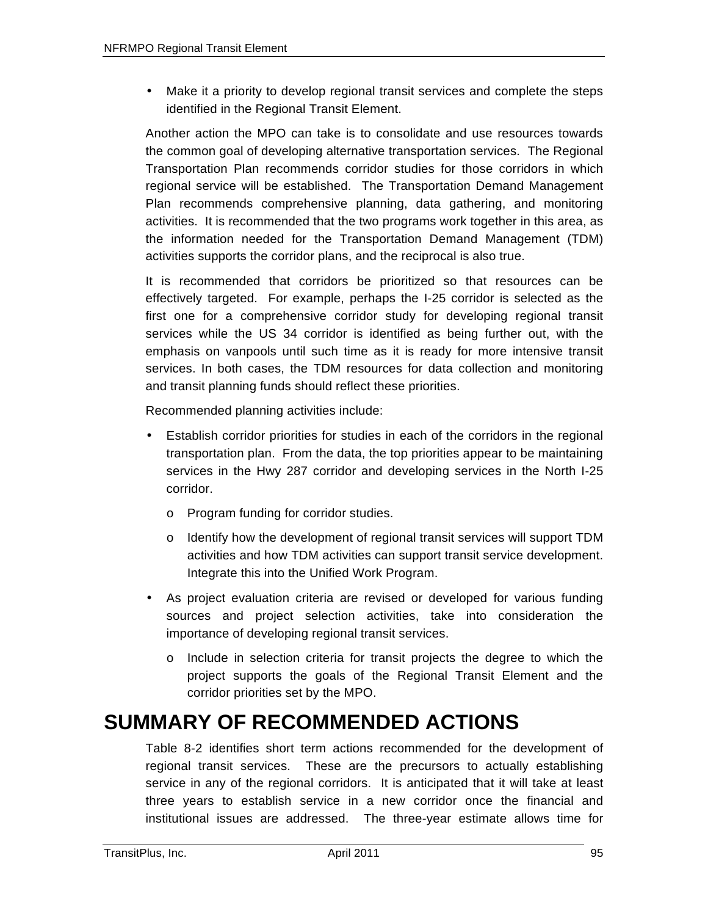• Make it a priority to develop regional transit services and complete the steps identified in the Regional Transit Element.

Another action the MPO can take is to consolidate and use resources towards the common goal of developing alternative transportation services. The Regional Transportation Plan recommends corridor studies for those corridors in which regional service will be established. The Transportation Demand Management Plan recommends comprehensive planning, data gathering, and monitoring activities. It is recommended that the two programs work together in this area, as the information needed for the Transportation Demand Management (TDM) activities supports the corridor plans, and the reciprocal is also true.

It is recommended that corridors be prioritized so that resources can be effectively targeted. For example, perhaps the I-25 corridor is selected as the first one for a comprehensive corridor study for developing regional transit services while the US 34 corridor is identified as being further out, with the emphasis on vanpools until such time as it is ready for more intensive transit services. In both cases, the TDM resources for data collection and monitoring and transit planning funds should reflect these priorities.

Recommended planning activities include:

- Establish corridor priorities for studies in each of the corridors in the regional transportation plan. From the data, the top priorities appear to be maintaining services in the Hwy 287 corridor and developing services in the North I-25 corridor.
	- o Program funding for corridor studies.
	- $\circ$  Identify how the development of regional transit services will support TDM activities and how TDM activities can support transit service development. Integrate this into the Unified Work Program.
- As project evaluation criteria are revised or developed for various funding sources and project selection activities, take into consideration the importance of developing regional transit services.
	- o Include in selection criteria for transit projects the degree to which the project supports the goals of the Regional Transit Element and the corridor priorities set by the MPO.

## **SUMMARY OF RECOMMENDED ACTIONS**

Table 8-2 identifies short term actions recommended for the development of regional transit services. These are the precursors to actually establishing service in any of the regional corridors. It is anticipated that it will take at least three years to establish service in a new corridor once the financial and institutional issues are addressed. The three-year estimate allows time for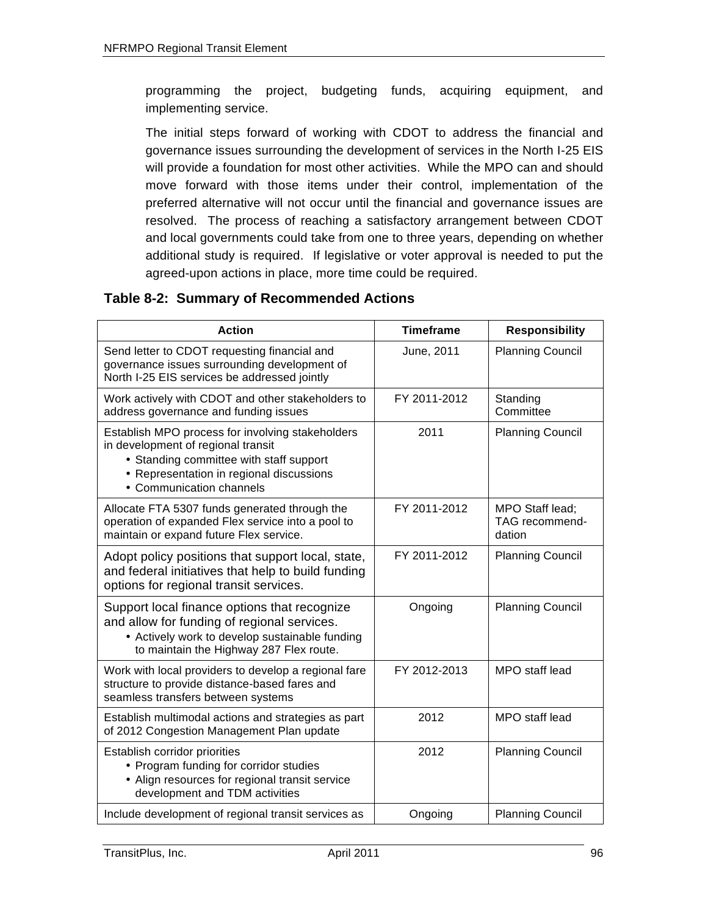programming the project, budgeting funds, acquiring equipment, and implementing service.

The initial steps forward of working with CDOT to address the financial and governance issues surrounding the development of services in the North I-25 EIS will provide a foundation for most other activities. While the MPO can and should move forward with those items under their control, implementation of the preferred alternative will not occur until the financial and governance issues are resolved. The process of reaching a satisfactory arrangement between CDOT and local governments could take from one to three years, depending on whether additional study is required. If legislative or voter approval is needed to put the agreed-upon actions in place, more time could be required.

#### **Table 8-2: Summary of Recommended Actions**

| <b>Action</b>                                                                                                                                                                                             | <b>Timeframe</b> | <b>Responsibility</b>                       |
|-----------------------------------------------------------------------------------------------------------------------------------------------------------------------------------------------------------|------------------|---------------------------------------------|
| Send letter to CDOT requesting financial and<br>governance issues surrounding development of<br>North I-25 EIS services be addressed jointly                                                              | June, 2011       | <b>Planning Council</b>                     |
| Work actively with CDOT and other stakeholders to<br>address governance and funding issues                                                                                                                | FY 2011-2012     | Standing<br>Committee                       |
| Establish MPO process for involving stakeholders<br>in development of regional transit<br>• Standing committee with staff support<br>• Representation in regional discussions<br>• Communication channels | 2011             | <b>Planning Council</b>                     |
| Allocate FTA 5307 funds generated through the<br>operation of expanded Flex service into a pool to<br>maintain or expand future Flex service.                                                             | FY 2011-2012     | MPO Staff lead;<br>TAG recommend-<br>dation |
| Adopt policy positions that support local, state,<br>and federal initiatives that help to build funding<br>options for regional transit services.                                                         | FY 2011-2012     | <b>Planning Council</b>                     |
| Support local finance options that recognize<br>and allow for funding of regional services.<br>• Actively work to develop sustainable funding<br>to maintain the Highway 287 Flex route.                  | Ongoing          | <b>Planning Council</b>                     |
| Work with local providers to develop a regional fare<br>structure to provide distance-based fares and<br>seamless transfers between systems                                                               | FY 2012-2013     | MPO staff lead                              |
| Establish multimodal actions and strategies as part<br>of 2012 Congestion Management Plan update                                                                                                          | 2012             | MPO staff lead                              |
| Establish corridor priorities<br>• Program funding for corridor studies<br>• Align resources for regional transit service<br>development and TDM activities                                               | 2012             | <b>Planning Council</b>                     |
| Include development of regional transit services as                                                                                                                                                       | Ongoing          | <b>Planning Council</b>                     |